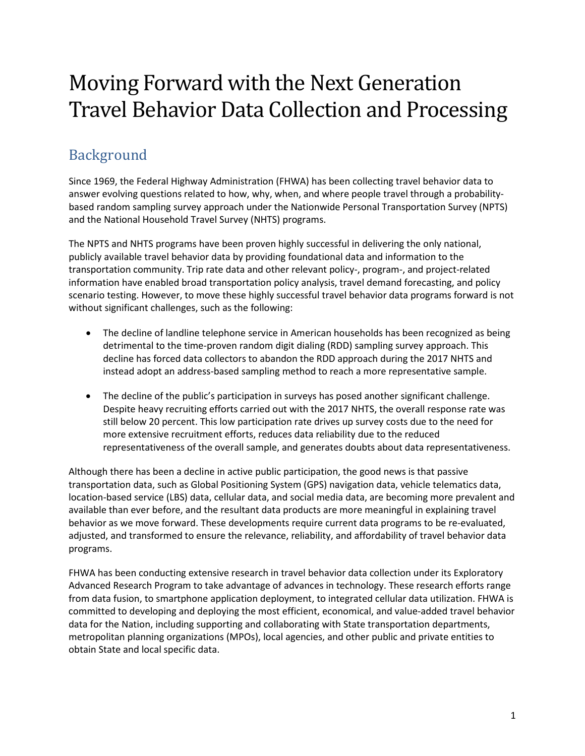# Moving Forward with the Next Generation Travel Behavior Data Collection and Processing

# Background

Since 1969, the Federal Highway Administration (FHWA) has been collecting travel behavior data to answer evolving questions related to how, why, when, and where people travel through a probabilitybased random sampling survey approach under the Nationwide Personal Transportation Survey (NPTS) and the National Household Travel Survey (NHTS) programs.

The NPTS and NHTS programs have been proven highly successful in delivering the only national, publicly available travel behavior data by providing foundational data and information to the transportation community. Trip rate data and other relevant policy-, program-, and project-related information have enabled broad transportation policy analysis, travel demand forecasting, and policy scenario testing. However, to move these highly successful travel behavior data programs forward is not without significant challenges, such as the following:

- The decline of landline telephone service in American households has been recognized as being detrimental to the time-proven random digit dialing (RDD) sampling survey approach. This decline has forced data collectors to abandon the RDD approach during the 2017 NHTS and instead adopt an address-based sampling method to reach a more representative sample.
- The decline of the public's participation in surveys has posed another significant challenge. Despite heavy recruiting efforts carried out with the 2017 NHTS, the overall response rate was still below 20 percent. This low participation rate drives up survey costs due to the need for more extensive recruitment efforts, reduces data reliability due to the reduced representativeness of the overall sample, and generates doubts about data representativeness.

Although there has been a decline in active public participation, the good news is that passive transportation data, such as Global Positioning System (GPS) navigation data, vehicle telematics data, location-based service (LBS) data, cellular data, and social media data, are becoming more prevalent and available than ever before, and the resultant data products are more meaningful in explaining travel behavior as we move forward. These developments require current data programs to be re-evaluated, adjusted, and transformed to ensure the relevance, reliability, and affordability of travel behavior data programs.

FHWA has been conducting extensive research in travel behavior data collection under its Exploratory Advanced Research Program to take advantage of advances in technology. These research efforts range from data fusion, to smartphone application deployment, to integrated cellular data utilization. FHWA is committed to developing and deploying the most efficient, economical, and value-added travel behavior data for the Nation, including supporting and collaborating with State transportation departments, metropolitan planning organizations (MPOs), local agencies, and other public and private entities to obtain State and local specific data.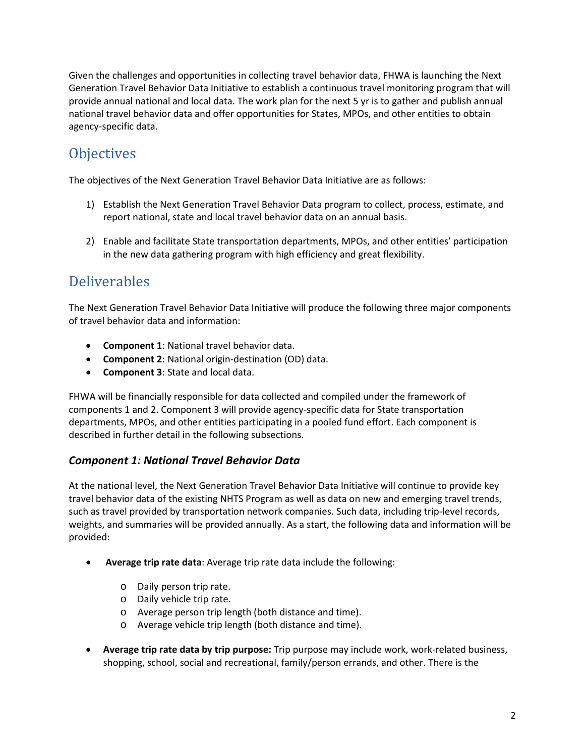Given the challenges and opportunities in collecting travel behavior data, FHWA is launching the Next Generation Travel Behavior Data Initiative to establish a continuous travel monitoring program that will provide annual national and local data. The work plan for the next 5 yr is to gather and publish annual national travel behavior data and offer opportunities for States, MPOs, and other entities to obtain agency-specific data.

# **Objectives**

The objectives of the Next Generation Travel Behavior Data Initiative are as follows:

- 1) Establish the Next Generation Travel Behavior Data program to collect, process, estimate, and report national, state and local travel behavior data on an annual basis.
- 2) Enable and facilitate State transportation departments, MPOs, and other entities' participation in the new data gathering program with high efficiency and great flexibility.

# Deliverables

The Next Generation Travel Behavior Data Initiative will produce the following three major components of travel behavior data and information:

- **Component 1**: National travel behavior data.
- **Component 2**: National origin-destination (OD) data.
- **Component 3**: State and local data.

FHWA will be financially responsible for data collected and compiled under the framework of components 1 and 2. Component 3 will provide agency-specific data for State transportation departments, MPOs, and other entities participating in a pooled fund effort. Each component is described in further detail in the following subsections.

#### *Component 1: National Travel Behavior Data*

At the national level, the Next Generation Travel Behavior Data Initiative will continue to provide key travel behavior data of the existing NHTS Program as well as data on new and emerging travel trends, such as travel provided by transportation network companies. Such data, including trip-level records, weights, and summaries will be provided annually. As a start, the following data and information will be provided:

- **Average trip rate data**: Average trip rate data include the following:
	- o Daily person trip rate.
	- o Daily vehicle trip rate.
	- o Average person trip length (both distance and time).
	- o Average vehicle trip length (both distance and time).
- **Average trip rate data by trip purpose:** Trip purpose may include work, work-related business, shopping, school, social and recreational, family/person errands, and other. There is the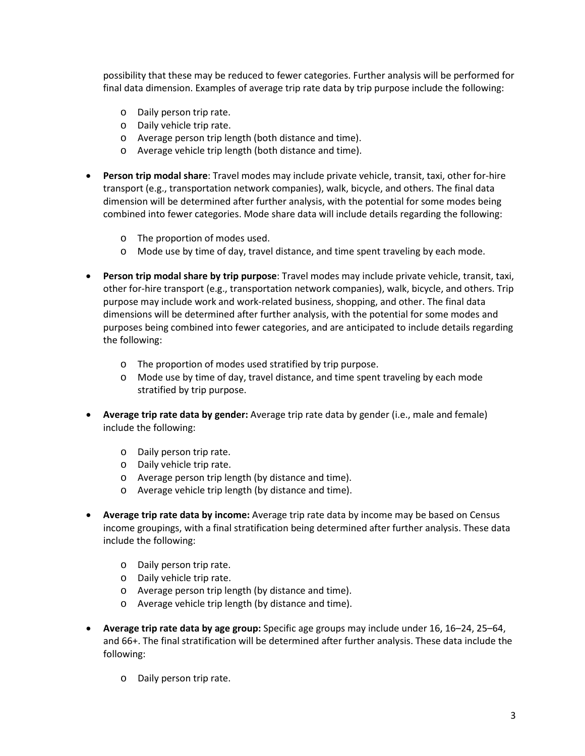possibility that these may be reduced to fewer categories. Further analysis will be performed for final data dimension. Examples of average trip rate data by trip purpose include the following:

- o Daily person trip rate.
- o Daily vehicle trip rate.
- o Average person trip length (both distance and time).
- o Average vehicle trip length (both distance and time).
- **Person trip modal share**: Travel modes may include private vehicle, transit, taxi, other for-hire transport (e.g., transportation network companies), walk, bicycle, and others. The final data dimension will be determined after further analysis, with the potential for some modes being combined into fewer categories. Mode share data will include details regarding the following:
	- o The proportion of modes used.
	- o Mode use by time of day, travel distance, and time spent traveling by each mode.
- **Person trip modal share by trip purpose**: Travel modes may include private vehicle, transit, taxi, other for-hire transport (e.g., transportation network companies), walk, bicycle, and others. Trip purpose may include work and work-related business, shopping, and other. The final data dimensions will be determined after further analysis, with the potential for some modes and purposes being combined into fewer categories, and are anticipated to include details regarding the following:
	- o The proportion of modes used stratified by trip purpose.
	- o Mode use by time of day, travel distance, and time spent traveling by each mode stratified by trip purpose.
- **Average trip rate data by gender:** Average trip rate data by gender (i.e., male and female) include the following:
	- o Daily person trip rate.
	- o Daily vehicle trip rate.
	- o Average person trip length (by distance and time).
	- o Average vehicle trip length (by distance and time).
- **Average trip rate data by income:** Average trip rate data by income may be based on Census income groupings, with a final stratification being determined after further analysis. These data include the following:
	- o Daily person trip rate.
	- o Daily vehicle trip rate.
	- o Average person trip length (by distance and time).
	- o Average vehicle trip length (by distance and time).
- **Average trip rate data by age group:** Specific age groups may include under 16, 16–24, 25–64, and 66+. The final stratification will be determined after further analysis. These data include the following:
	- o Daily person trip rate.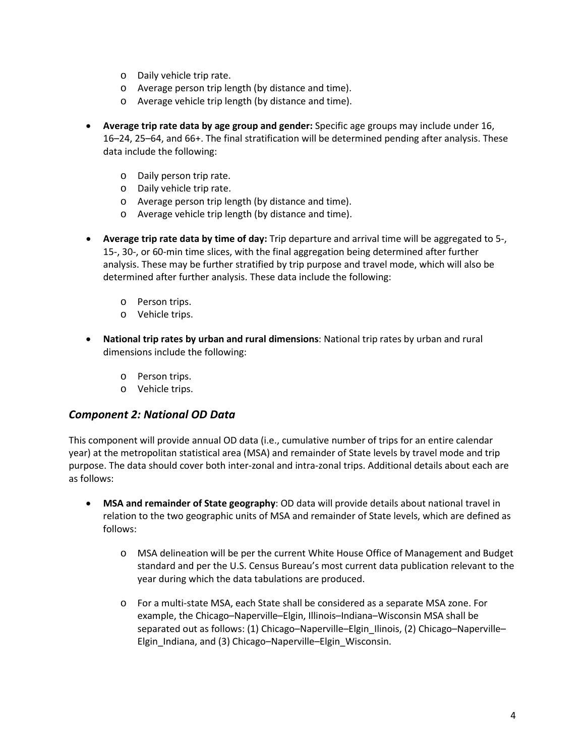- o Daily vehicle trip rate.
- o Average person trip length (by distance and time).
- o Average vehicle trip length (by distance and time).
- **Average trip rate data by age group and gender:** Specific age groups may include under 16, 16–24, 25–64, and 66+. The final stratification will be determined pending after analysis. These data include the following:
	- o Daily person trip rate.
	- o Daily vehicle trip rate.
	- o Average person trip length (by distance and time).
	- o Average vehicle trip length (by distance and time).
- **Average trip rate data by time of day:** Trip departure and arrival time will be aggregated to 5-, 15-, 30-, or 60-min time slices, with the final aggregation being determined after further analysis. These may be further stratified by trip purpose and travel mode, which will also be determined after further analysis. These data include the following:
	- o Person trips.
	- o Vehicle trips.
- **National trip rates by urban and rural dimensions**: National trip rates by urban and rural dimensions include the following:
	- o Person trips.
	- o Vehicle trips.

#### *Component 2: National OD Data*

This component will provide annual OD data (i.e., cumulative number of trips for an entire calendar year) at the metropolitan statistical area (MSA) and remainder of State levels by travel mode and trip purpose. The data should cover both inter-zonal and intra-zonal trips. Additional details about each are as follows:

- **MSA and remainder of State geography**: OD data will provide details about national travel in relation to the two geographic units of MSA and remainder of State levels, which are defined as follows:
	- o MSA delineation will be per the current White House Office of Management and Budget standard and per the U.S. Census Bureau's most current data publication relevant to the year during which the data tabulations are produced.
	- o For a multi-state MSA, each State shall be considered as a separate MSA zone. For example, the Chicago–Naperville–Elgin, Illinois–Indiana–Wisconsin MSA shall be separated out as follows: (1) Chicago–Naperville–Elgin\_Ilinois, (2) Chicago–Naperville– Elgin\_Indiana, and (3) Chicago–Naperville–Elgin\_Wisconsin.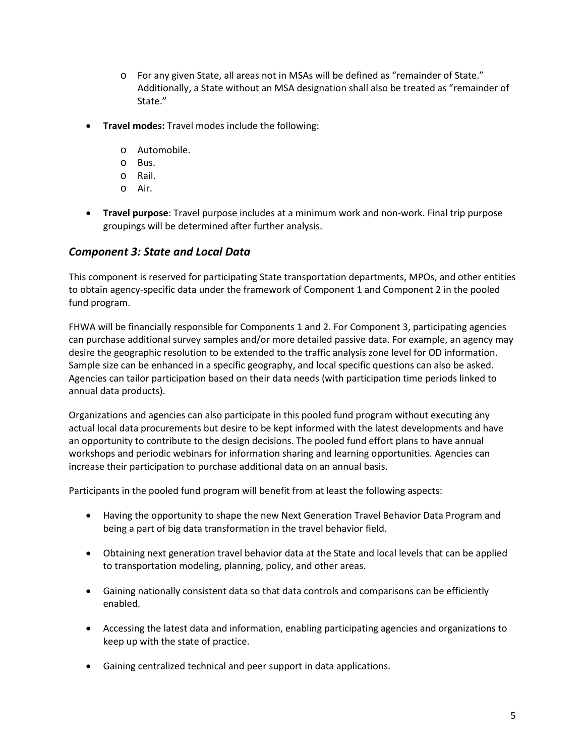- o For any given State, all areas not in MSAs will be defined as "remainder of State." Additionally, a State without an MSA designation shall also be treated as "remainder of State."
- **Travel modes:** Travel modes include the following:
	- o Automobile.
	- o Bus.
	- o Rail.
	- o Air.
- **Travel purpose**: Travel purpose includes at a minimum work and non-work. Final trip purpose groupings will be determined after further analysis.

#### *Component 3: State and Local Data*

This component is reserved for participating State transportation departments, MPOs, and other entities to obtain agency-specific data under the framework of Component 1 and Component 2 in the pooled fund program.

FHWA will be financially responsible for Components 1 and 2. For Component 3, participating agencies can purchase additional survey samples and/or more detailed passive data. For example, an agency may desire the geographic resolution to be extended to the traffic analysis zone level for OD information. Sample size can be enhanced in a specific geography, and local specific questions can also be asked. Agencies can tailor participation based on their data needs (with participation time periods linked to annual data products).

Organizations and agencies can also participate in this pooled fund program without executing any actual local data procurements but desire to be kept informed with the latest developments and have an opportunity to contribute to the design decisions. The pooled fund effort plans to have annual workshops and periodic webinars for information sharing and learning opportunities. Agencies can increase their participation to purchase additional data on an annual basis.

Participants in the pooled fund program will benefit from at least the following aspects:

- Having the opportunity to shape the new Next Generation Travel Behavior Data Program and being a part of big data transformation in the travel behavior field.
- Obtaining next generation travel behavior data at the State and local levels that can be applied to transportation modeling, planning, policy, and other areas.
- Gaining nationally consistent data so that data controls and comparisons can be efficiently enabled.
- Accessing the latest data and information, enabling participating agencies and organizations to keep up with the state of practice.
- Gaining centralized technical and peer support in data applications.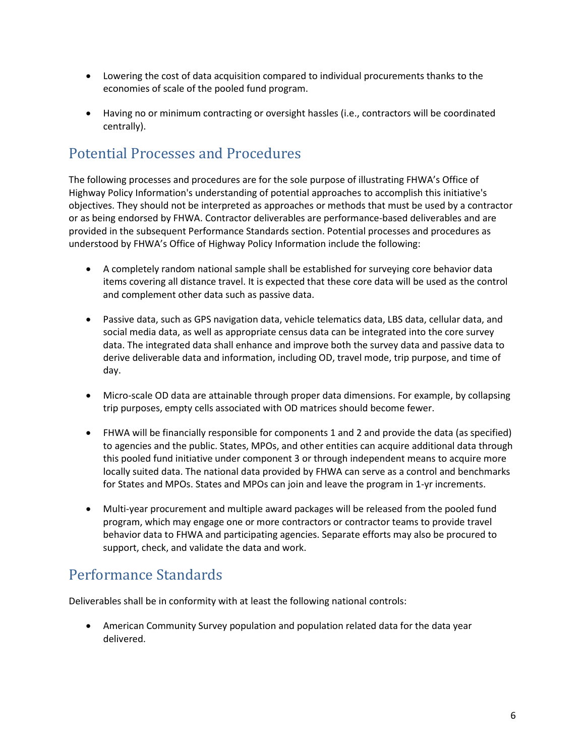- Lowering the cost of data acquisition compared to individual procurements thanks to the economies of scale of the pooled fund program.
- Having no or minimum contracting or oversight hassles (i.e., contractors will be coordinated centrally).

### Potential Processes and Procedures

The following processes and procedures are for the sole purpose of illustrating FHWA's Office of Highway Policy Information's understanding of potential approaches to accomplish this initiative's objectives. They should not be interpreted as approaches or methods that must be used by a contractor or as being endorsed by FHWA. Contractor deliverables are performance-based deliverables and are provided in the subsequent Performance Standards section. Potential processes and procedures as understood by FHWA's Office of Highway Policy Information include the following:

- A completely random national sample shall be established for surveying core behavior data items covering all distance travel. It is expected that these core data will be used as the control and complement other data such as passive data.
- Passive data, such as GPS navigation data, vehicle telematics data, LBS data, cellular data, and social media data, as well as appropriate census data can be integrated into the core survey data. The integrated data shall enhance and improve both the survey data and passive data to derive deliverable data and information, including OD, travel mode, trip purpose, and time of day.
- Micro-scale OD data are attainable through proper data dimensions. For example, by collapsing trip purposes, empty cells associated with OD matrices should become fewer.
- FHWA will be financially responsible for components 1 and 2 and provide the data (as specified) to agencies and the public. States, MPOs, and other entities can acquire additional data through this pooled fund initiative under component 3 or through independent means to acquire more locally suited data. The national data provided by FHWA can serve as a control and benchmarks for States and MPOs. States and MPOs can join and leave the program in 1-yr increments.
- Multi-year procurement and multiple award packages will be released from the pooled fund program, which may engage one or more contractors or contractor teams to provide travel behavior data to FHWA and participating agencies. Separate efforts may also be procured to support, check, and validate the data and work.

### Performance Standards

Deliverables shall be in conformity with at least the following national controls:

• American Community Survey population and population related data for the data year delivered.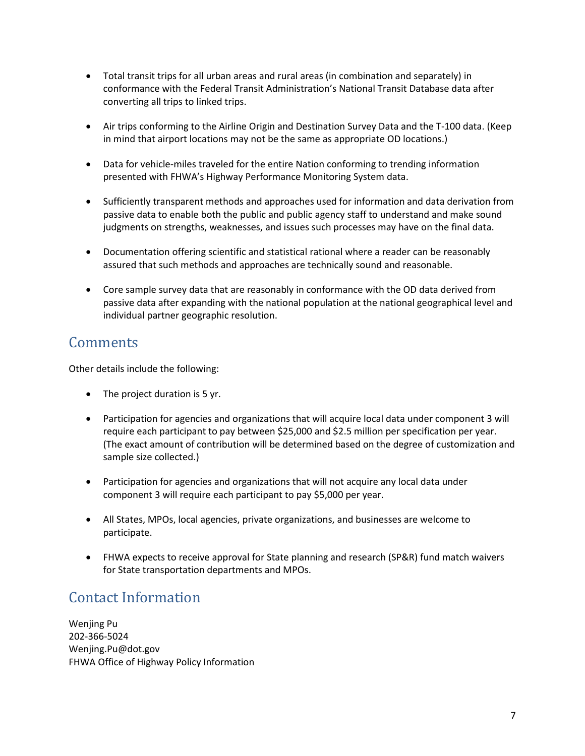- Total transit trips for all urban areas and rural areas (in combination and separately) in conformance with the Federal Transit Administration's National Transit Database data after converting all trips to linked trips.
- Air trips conforming to the Airline Origin and Destination Survey Data and the T-100 data. (Keep in mind that airport locations may not be the same as appropriate OD locations.)
- Data for vehicle-miles traveled for the entire Nation conforming to trending information presented with FHWA's Highway Performance Monitoring System data.
- Sufficiently transparent methods and approaches used for information and data derivation from passive data to enable both the public and public agency staff to understand and make sound judgments on strengths, weaknesses, and issues such processes may have on the final data.
- Documentation offering scientific and statistical rational where a reader can be reasonably assured that such methods and approaches are technically sound and reasonable.
- Core sample survey data that are reasonably in conformance with the OD data derived from passive data after expanding with the national population at the national geographical level and individual partner geographic resolution.

### **Comments**

Other details include the following:

- The project duration is 5 yr.
- Participation for agencies and organizations that will acquire local data under component 3 will require each participant to pay between \$25,000 and \$2.5 million per specification per year. (The exact amount of contribution will be determined based on the degree of customization and sample size collected.)
- Participation for agencies and organizations that will not acquire any local data under component 3 will require each participant to pay \$5,000 per year.
- All States, MPOs, local agencies, private organizations, and businesses are welcome to participate.
- FHWA expects to receive approval for State planning and research (SP&R) fund match waivers for State transportation departments and MPOs.

# Contact Information

Wenjing Pu 202-366-5024 [Wenjing.Pu@dot.gov](mailto:Wenjing.Pu@dot.gov) FHWA Office of Highway Policy Information